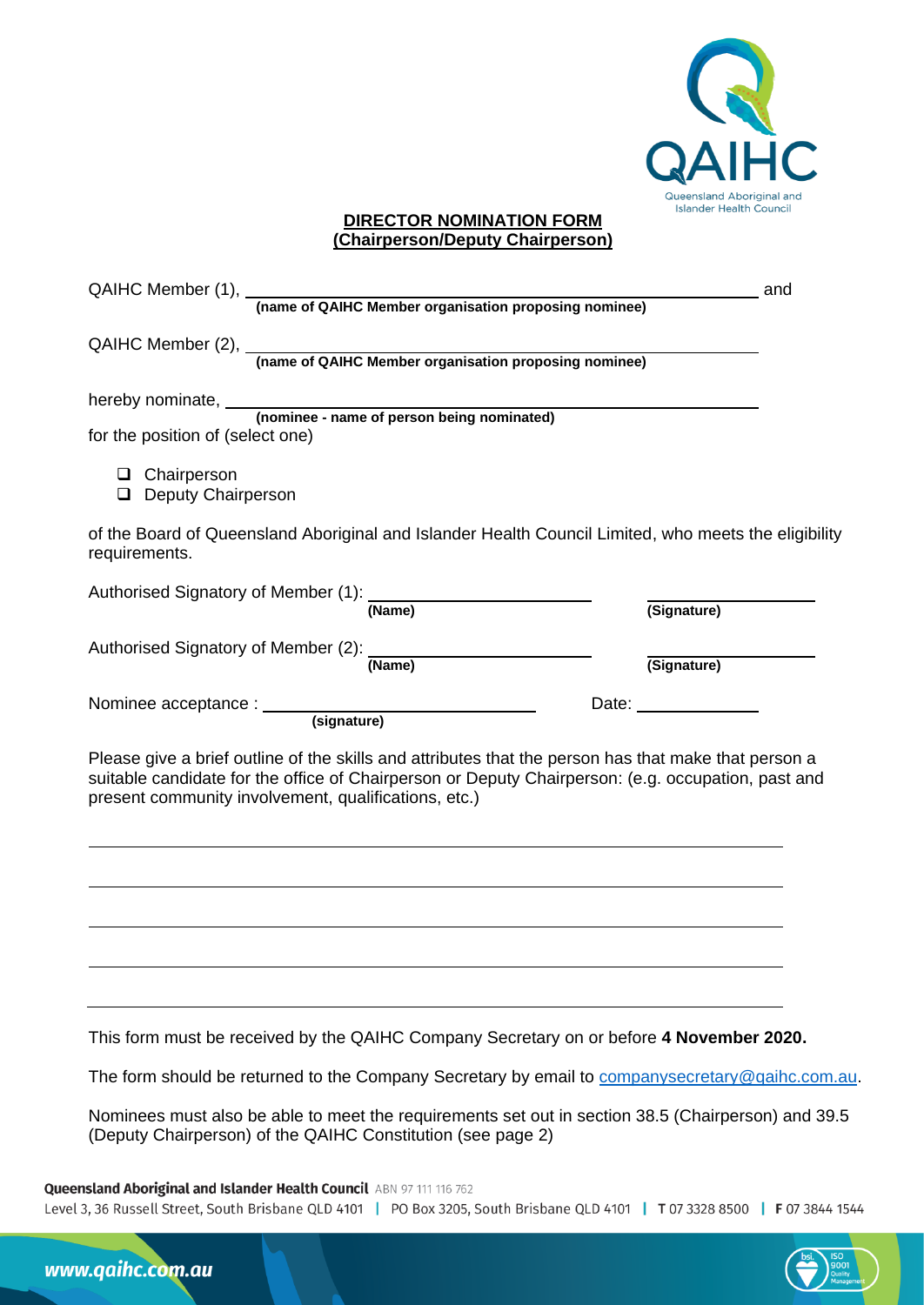

## **DIRECTOR NOMINATION FORM (Chairperson/Deputy Chairperson)**

| QAIHC Member (1), <i>(name of QAIHC Member organisation proposing nominee)</i>                                                                                                                                                                                     | and                          |
|--------------------------------------------------------------------------------------------------------------------------------------------------------------------------------------------------------------------------------------------------------------------|------------------------------|
| QAIHC Member (2), <b>(name of QAIHC Member organisation proposing nominee)</b>                                                                                                                                                                                     |                              |
| for the position of (select one)                                                                                                                                                                                                                                   |                              |
| $\Box$ Chairperson<br>Deputy Chairperson                                                                                                                                                                                                                           |                              |
| of the Board of Queensland Aboriginal and Islander Health Council Limited, who meets the eligibility<br>requirements.                                                                                                                                              |                              |
| Authorised Signatory of Member (1): (Name)                                                                                                                                                                                                                         | (Signature)                  |
| Authorised Signatory of Member (2): (Name)                                                                                                                                                                                                                         | (Signature)                  |
|                                                                                                                                                                                                                                                                    | Date: <u>_______________</u> |
| Please give a brief outline of the skills and attributes that the person has that make that person a<br>suitable candidate for the office of Chairperson or Deputy Chairperson: (e.g. occupation, past and<br>present community involvement, qualifications, etc.) |                              |
|                                                                                                                                                                                                                                                                    |                              |
|                                                                                                                                                                                                                                                                    |                              |
| This form must be received by the QAIHC Company Secretary on or before 4 November 2020.                                                                                                                                                                            |                              |
| The form should be returned to the Company Secretary by email to companysecretary@qaihc.com.au.                                                                                                                                                                    |                              |
| Nominees must also be able to meet the requirements set out in section 38.5 (Chairperson) and 39.5<br>(Deputy Chairperson) of the QAIHC Constitution (see page 2)                                                                                                  |                              |

Queensland Aboriginal and Islander Health Council ABN 97 111 116 762

Level 3, 36 Russell Street, South Brisbane QLD 4101 | PO Box 3205, South Brisbane QLD 4101 | T 07 3328 8500 | F 07 3844 1544